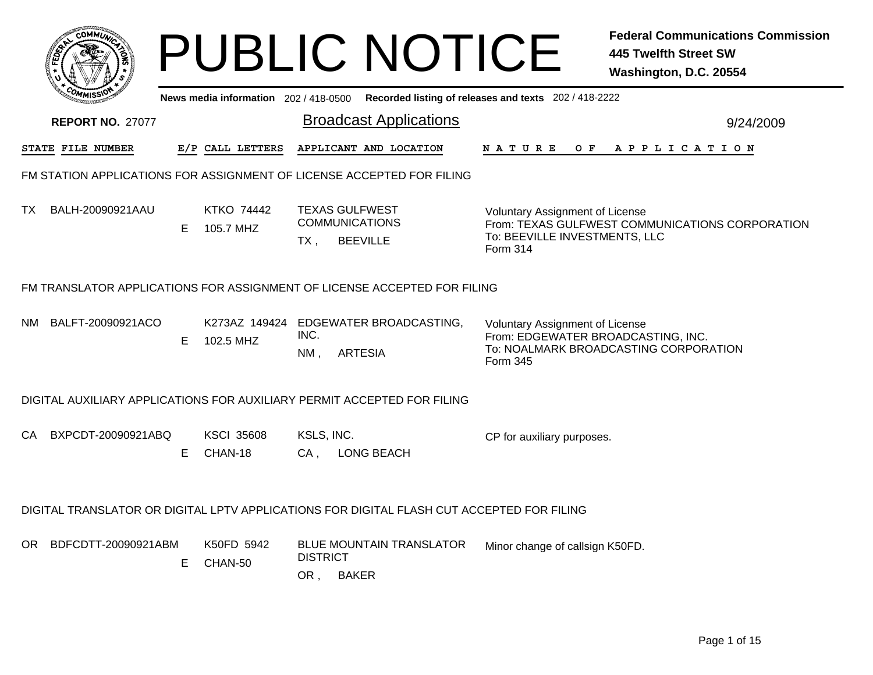|     |                                                                          |    |                                     | <b>PUBLIC NOTICE</b>                                                                      |                                                                                                                                 | <b>Federal Communications Commission</b><br>445 Twelfth Street SW<br>Washington, D.C. 20554 |  |  |  |  |
|-----|--------------------------------------------------------------------------|----|-------------------------------------|-------------------------------------------------------------------------------------------|---------------------------------------------------------------------------------------------------------------------------------|---------------------------------------------------------------------------------------------|--|--|--|--|
|     |                                                                          |    | News media information 202/418-0500 |                                                                                           | Recorded listing of releases and texts 202 / 418-2222                                                                           |                                                                                             |  |  |  |  |
|     | <b>REPORT NO. 27077</b>                                                  |    |                                     | <b>Broadcast Applications</b>                                                             |                                                                                                                                 | 9/24/2009                                                                                   |  |  |  |  |
|     | STATE FILE NUMBER                                                        |    | E/P CALL LETTERS                    | APPLICANT AND LOCATION                                                                    | N A T U R E                                                                                                                     | OF APPLICATION                                                                              |  |  |  |  |
|     |                                                                          |    |                                     | FM STATION APPLICATIONS FOR ASSIGNMENT OF LICENSE ACCEPTED FOR FILING                     |                                                                                                                                 |                                                                                             |  |  |  |  |
| ТX  | BALH-20090921AAU                                                         | E. | KTKO 74442<br>105.7 MHZ             | <b>TEXAS GULFWEST</b><br><b>COMMUNICATIONS</b><br><b>BEEVILLE</b><br>TX,                  | Voluntary Assignment of License<br>From: TEXAS GULFWEST COMMUNICATIONS CORPORATION<br>To: BEEVILLE INVESTMENTS, LLC<br>Form 314 |                                                                                             |  |  |  |  |
|     | FM TRANSLATOR APPLICATIONS FOR ASSIGNMENT OF LICENSE ACCEPTED FOR FILING |    |                                     |                                                                                           |                                                                                                                                 |                                                                                             |  |  |  |  |
| NM. | BALFT-20090921ACO                                                        | E. | 102.5 MHZ                           | K273AZ 149424 EDGEWATER BROADCASTING,<br>INC.<br><b>ARTESIA</b><br>NM,                    | Voluntary Assignment of License<br>From: EDGEWATER BROADCASTING, INC.<br>To: NOALMARK BROADCASTING CORPORATION<br>Form 345      |                                                                                             |  |  |  |  |
|     |                                                                          |    |                                     | DIGITAL AUXILIARY APPLICATIONS FOR AUXILIARY PERMIT ACCEPTED FOR FILING                   |                                                                                                                                 |                                                                                             |  |  |  |  |
| СA  | BXPCDT-20090921ABQ                                                       | Е  | <b>KSCI 35608</b><br>CHAN-18        | KSLS, INC.<br><b>LONG BEACH</b><br>CA,                                                    | CP for auxiliary purposes.                                                                                                      |                                                                                             |  |  |  |  |
|     |                                                                          |    |                                     | DIGITAL TRANSLATOR OR DIGITAL LPTV APPLICATIONS FOR DIGITAL FLASH CUT ACCEPTED FOR FILING |                                                                                                                                 |                                                                                             |  |  |  |  |
|     | OR BDFCDTT-20090921ABM                                                   | Е. | K50FD 5942<br>CHAN-50               | <b>BLUE MOUNTAIN TRANSLATOR</b><br><b>DISTRICT</b><br>OR, BAKER                           | Minor change of callsign K50FD.                                                                                                 |                                                                                             |  |  |  |  |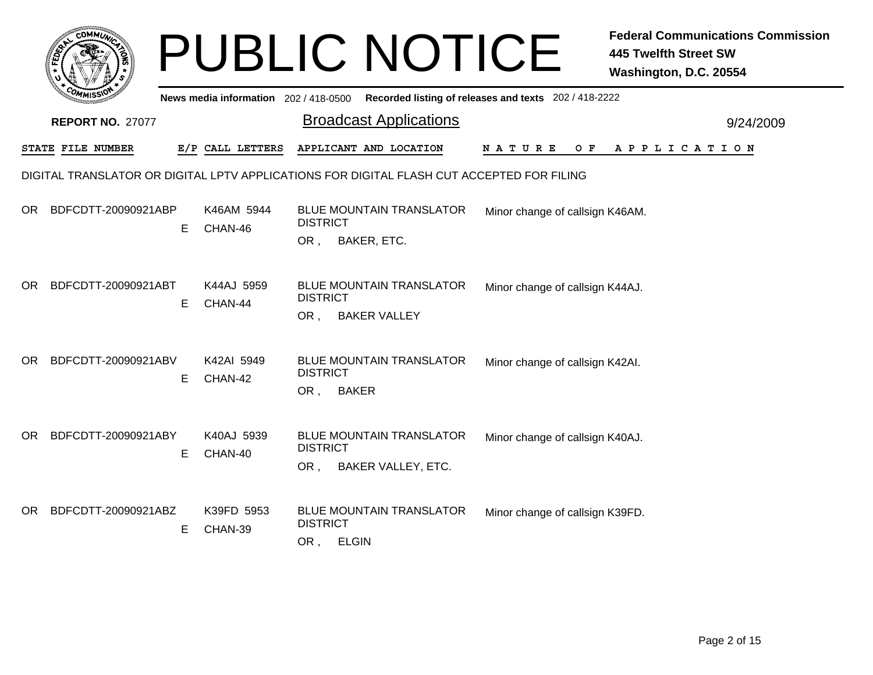| ςΟΜΜι                                                                                     |                       | <b>PUBLIC NOTICE</b>                                                             |                                                                                         | <b>Federal Communications Commission</b><br><b>445 Twelfth Street SW</b><br>Washington, D.C. 20554 |  |  |  |  |  |
|-------------------------------------------------------------------------------------------|-----------------------|----------------------------------------------------------------------------------|-----------------------------------------------------------------------------------------|----------------------------------------------------------------------------------------------------|--|--|--|--|--|
|                                                                                           |                       |                                                                                  | News media information 202/418-0500 Recorded listing of releases and texts 202/418-2222 |                                                                                                    |  |  |  |  |  |
| <b>REPORT NO. 27077</b>                                                                   |                       | <b>Broadcast Applications</b>                                                    |                                                                                         | 9/24/2009                                                                                          |  |  |  |  |  |
| STATE FILE NUMBER                                                                         | E/P CALL LETTERS      | APPLICANT AND LOCATION                                                           | N A T U R E<br>O F                                                                      | APPLICATION                                                                                        |  |  |  |  |  |
| DIGITAL TRANSLATOR OR DIGITAL LPTV APPLICATIONS FOR DIGITAL FLASH CUT ACCEPTED FOR FILING |                       |                                                                                  |                                                                                         |                                                                                                    |  |  |  |  |  |
| BDFCDTT-20090921ABP<br>OR.<br>Е                                                           | K46AM 5944<br>CHAN-46 | <b>BLUE MOUNTAIN TRANSLATOR</b><br><b>DISTRICT</b>                               | Minor change of callsign K46AM.                                                         |                                                                                                    |  |  |  |  |  |
|                                                                                           |                       | OR,<br>BAKER, ETC.                                                               |                                                                                         |                                                                                                    |  |  |  |  |  |
| BDFCDTT-20090921ABT<br>OR.<br>E.                                                          | K44AJ 5959<br>CHAN-44 | <b>BLUE MOUNTAIN TRANSLATOR</b><br><b>DISTRICT</b><br><b>BAKER VALLEY</b><br>OR, | Minor change of callsign K44AJ.                                                         |                                                                                                    |  |  |  |  |  |
| <b>OR</b><br>BDFCDTT-20090921ABV<br>Е                                                     | K42AI 5949<br>CHAN-42 | <b>BLUE MOUNTAIN TRANSLATOR</b><br><b>DISTRICT</b><br><b>BAKER</b><br>OR,        | Minor change of callsign K42AI.                                                         |                                                                                                    |  |  |  |  |  |
| BDFCDTT-20090921ABY<br>OR.<br>Е                                                           | K40AJ 5939<br>CHAN-40 | <b>BLUE MOUNTAIN TRANSLATOR</b><br><b>DISTRICT</b><br>OR,<br>BAKER VALLEY, ETC.  | Minor change of callsign K40AJ.                                                         |                                                                                                    |  |  |  |  |  |
| BDFCDTT-20090921ABZ<br>OR.<br>Е                                                           | K39FD 5953<br>CHAN-39 | <b>BLUE MOUNTAIN TRANSLATOR</b><br><b>DISTRICT</b><br>OR,<br><b>ELGIN</b>        | Minor change of callsign K39FD.                                                         |                                                                                                    |  |  |  |  |  |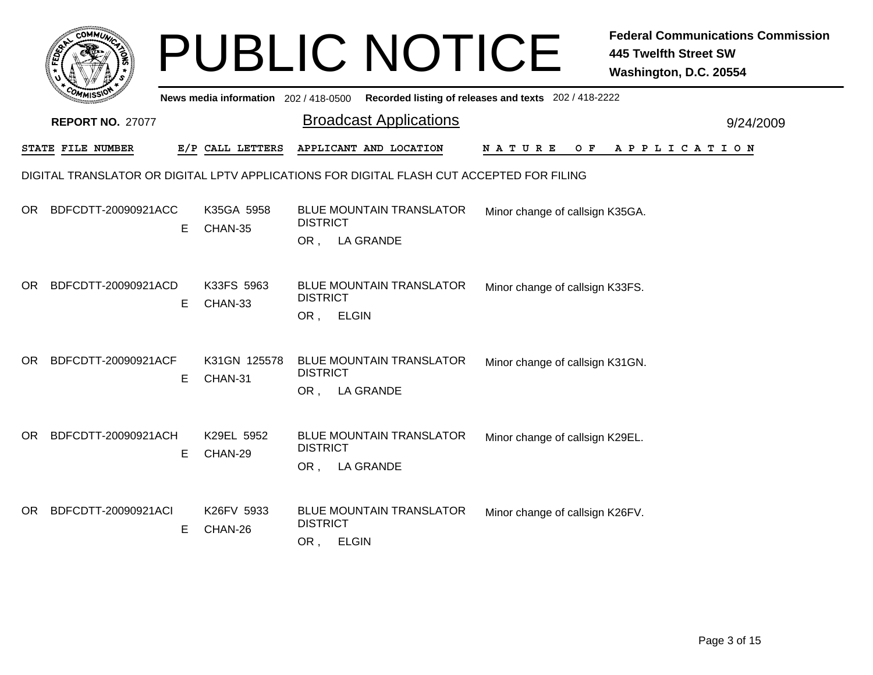|     | сомми                                                                                     |    |                                     | <b>PUBLIC NOTICE</b>                                                      | <b>Federal Communications Commission</b><br><b>445 Twelfth Street SW</b><br>Washington, D.C. 20554 |  |  |  |  |  |
|-----|-------------------------------------------------------------------------------------------|----|-------------------------------------|---------------------------------------------------------------------------|----------------------------------------------------------------------------------------------------|--|--|--|--|--|
|     |                                                                                           |    | News media information 202/418-0500 | Recorded listing of releases and texts 202 / 418-2222                     |                                                                                                    |  |  |  |  |  |
|     | <b>REPORT NO. 27077</b>                                                                   |    |                                     | <b>Broadcast Applications</b>                                             | 9/24/2009                                                                                          |  |  |  |  |  |
|     | STATE FILE NUMBER                                                                         |    | E/P CALL LETTERS                    | APPLICANT AND LOCATION                                                    | N A T U R E<br>O F<br>A P P L I C A T I O N                                                        |  |  |  |  |  |
|     | DIGITAL TRANSLATOR OR DIGITAL LPTV APPLICATIONS FOR DIGITAL FLASH CUT ACCEPTED FOR FILING |    |                                     |                                                                           |                                                                                                    |  |  |  |  |  |
| OR. | BDFCDTT-20090921ACC                                                                       | E. | K35GA 5958<br>CHAN-35               | <b>BLUE MOUNTAIN TRANSLATOR</b><br><b>DISTRICT</b><br>OR, LA GRANDE       | Minor change of callsign K35GA.                                                                    |  |  |  |  |  |
| OR. | BDFCDTT-20090921ACD                                                                       | E  | K33FS 5963<br>CHAN-33               | <b>BLUE MOUNTAIN TRANSLATOR</b><br><b>DISTRICT</b><br>OR,<br><b>ELGIN</b> | Minor change of callsign K33FS.                                                                    |  |  |  |  |  |
| OR. | BDFCDTT-20090921ACF                                                                       | E  | K31GN 125578<br>CHAN-31             | <b>BLUE MOUNTAIN TRANSLATOR</b><br><b>DISTRICT</b><br>OR, LA GRANDE       | Minor change of callsign K31GN.                                                                    |  |  |  |  |  |
| OR. | BDFCDTT-20090921ACH                                                                       | Е  | K29EL 5952<br>CHAN-29               | <b>BLUE MOUNTAIN TRANSLATOR</b><br><b>DISTRICT</b><br>OR, LA GRANDE       | Minor change of callsign K29EL.                                                                    |  |  |  |  |  |
| OR. | BDFCDTT-20090921ACI                                                                       | Е  | K26FV 5933<br>CHAN-26               | <b>BLUE MOUNTAIN TRANSLATOR</b><br><b>DISTRICT</b><br>OR, ELGIN           | Minor change of callsign K26FV.                                                                    |  |  |  |  |  |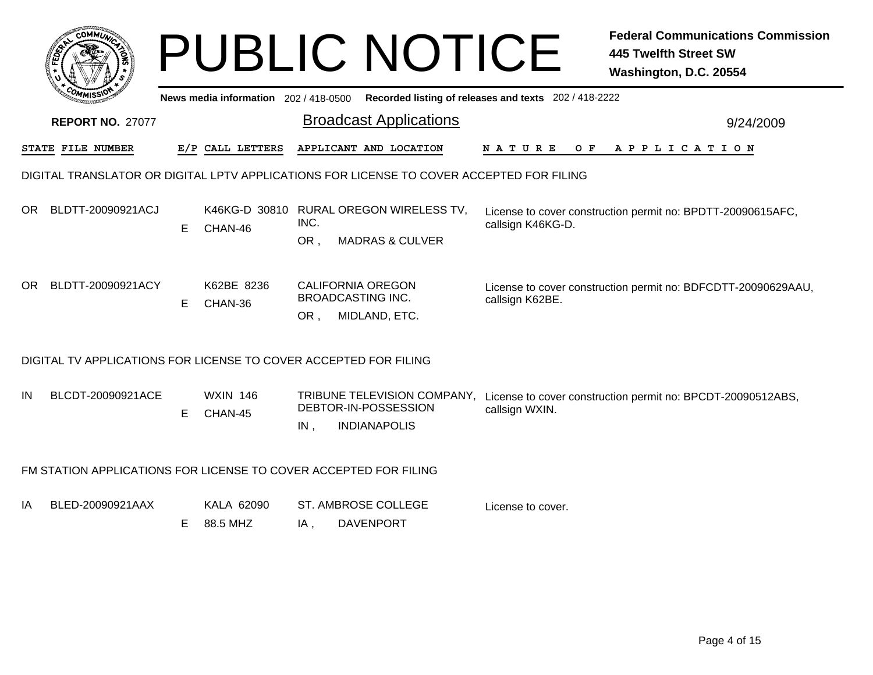|                                                                                          |                                                                  |    |                                     |             | <b>PUBLIC NOTICE</b>                                                       |                                                       | <b>Federal Communications Commission</b><br><b>445 Twelfth Street SW</b><br>Washington, D.C. 20554 |  |  |  |
|------------------------------------------------------------------------------------------|------------------------------------------------------------------|----|-------------------------------------|-------------|----------------------------------------------------------------------------|-------------------------------------------------------|----------------------------------------------------------------------------------------------------|--|--|--|
|                                                                                          |                                                                  |    | News media information 202/418-0500 |             |                                                                            | Recorded listing of releases and texts 202 / 418-2222 |                                                                                                    |  |  |  |
|                                                                                          | <b>REPORT NO. 27077</b>                                          |    |                                     |             | <b>Broadcast Applications</b>                                              |                                                       | 9/24/2009                                                                                          |  |  |  |
|                                                                                          | STATE FILE NUMBER                                                |    | E/P CALL LETTERS                    |             | APPLICANT AND LOCATION                                                     | N A T U R E<br>O F                                    | A P P L I C A T I O N                                                                              |  |  |  |
| DIGITAL TRANSLATOR OR DIGITAL LPTV APPLICATIONS FOR LICENSE TO COVER ACCEPTED FOR FILING |                                                                  |    |                                     |             |                                                                            |                                                       |                                                                                                    |  |  |  |
| OR.                                                                                      | BLDTT-20090921ACJ                                                | E. | CHAN-46                             | INC.<br>OR, | K46KG-D 30810 RURAL OREGON WIRELESS TV,<br><b>MADRAS &amp; CULVER</b>      | callsign K46KG-D.                                     | License to cover construction permit no: BPDTT-20090615AFC,                                        |  |  |  |
| OR.                                                                                      | BLDTT-20090921ACY                                                | E. | K62BE 8236<br>CHAN-36               | OR,         | <b>CALIFORNIA OREGON</b><br><b>BROADCASTING INC.</b><br>MIDLAND, ETC.      | callsign K62BE.                                       | License to cover construction permit no: BDFCDTT-20090629AAU,                                      |  |  |  |
|                                                                                          | DIGITAL TV APPLICATIONS FOR LICENSE TO COVER ACCEPTED FOR FILING |    |                                     |             |                                                                            |                                                       |                                                                                                    |  |  |  |
| IN                                                                                       | BLCDT-20090921ACE                                                | E. | <b>WXIN 146</b><br>CHAN-45          | $IN$ ,      | TRIBUNE TELEVISION COMPANY,<br>DEBTOR-IN-POSSESSION<br><b>INDIANAPOLIS</b> | callsign WXIN.                                        | License to cover construction permit no: BPCDT-20090512ABS,                                        |  |  |  |
|                                                                                          | FM STATION APPLICATIONS FOR LICENSE TO COVER ACCEPTED FOR FILING |    |                                     |             |                                                                            |                                                       |                                                                                                    |  |  |  |
| ΙA                                                                                       | BLED-20090921AAX                                                 | E. | KALA 62090<br>88.5 MHZ              | IA.         | ST. AMBROSE COLLEGE<br><b>DAVENPORT</b>                                    | License to cover.                                     |                                                                                                    |  |  |  |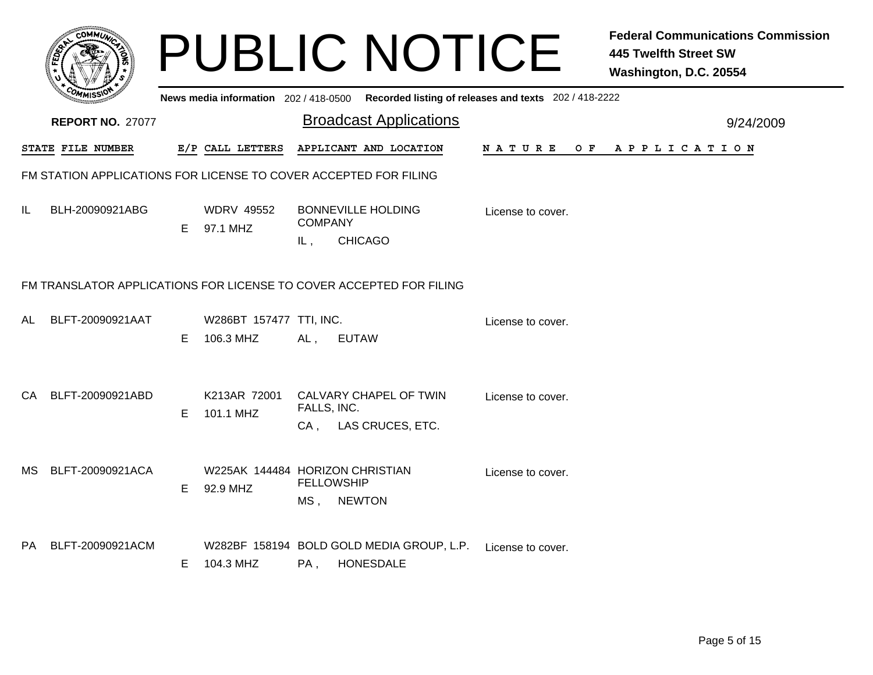|      |                                                                     |    |                                             |                             | <b>PUBLIC NOTICE</b>                                          |                                                                                         | <b>Federal Communications Commission</b><br><b>445 Twelfth Street SW</b><br>Washington, D.C. 20554 |  |  |  |  |  |
|------|---------------------------------------------------------------------|----|---------------------------------------------|-----------------------------|---------------------------------------------------------------|-----------------------------------------------------------------------------------------|----------------------------------------------------------------------------------------------------|--|--|--|--|--|
|      |                                                                     |    |                                             |                             |                                                               | News media information 202/418-0500 Recorded listing of releases and texts 202/418-2222 |                                                                                                    |  |  |  |  |  |
|      | <b>REPORT NO. 27077</b>                                             |    |                                             |                             | <b>Broadcast Applications</b>                                 |                                                                                         | 9/24/2009                                                                                          |  |  |  |  |  |
|      | STATE FILE NUMBER                                                   |    | E/P CALL LETTERS                            |                             | APPLICANT AND LOCATION                                        | N A T U R E<br>O F                                                                      | A P P L I C A T I O N                                                                              |  |  |  |  |  |
|      | FM STATION APPLICATIONS FOR LICENSE TO COVER ACCEPTED FOR FILING    |    |                                             |                             |                                                               |                                                                                         |                                                                                                    |  |  |  |  |  |
| IL   | BLH-20090921ABG                                                     |    | <b>WDRV 49552</b><br>E 97.1 MHZ             | <b>COMPANY</b><br>IL,       | <b>BONNEVILLE HOLDING</b><br><b>CHICAGO</b>                   | License to cover.                                                                       |                                                                                                    |  |  |  |  |  |
|      | FM TRANSLATOR APPLICATIONS FOR LICENSE TO COVER ACCEPTED FOR FILING |    |                                             |                             |                                                               |                                                                                         |                                                                                                    |  |  |  |  |  |
| AL   | BLFT-20090921AAT                                                    | E. | W286BT 157477 TTI, INC.<br>106.3 MHZ        | AL,                         | <b>EUTAW</b>                                                  | License to cover.                                                                       |                                                                                                    |  |  |  |  |  |
|      | CA BLFT-20090921ABD                                                 | E. | K213AR 72001<br>101.1 MHZ                   | FALLS, INC.                 | CALVARY CHAPEL OF TWIN<br>CA, LAS CRUCES, ETC.                | License to cover.                                                                       |                                                                                                    |  |  |  |  |  |
| MS . | BLFT-20090921ACA                                                    | E. | W225AK 144484 HORIZON CHRISTIAN<br>92.9 MHZ | <b>FELLOWSHIP</b><br>$MS$ , | <b>NEWTON</b>                                                 | License to cover.                                                                       |                                                                                                    |  |  |  |  |  |
|      | PA BLFT-20090921ACM                                                 | E. | 104.3 MHZ                                   | $PA$ .                      | W282BF 158194 BOLD GOLD MEDIA GROUP, L.P.<br><b>HONESDALE</b> | License to cover.                                                                       |                                                                                                    |  |  |  |  |  |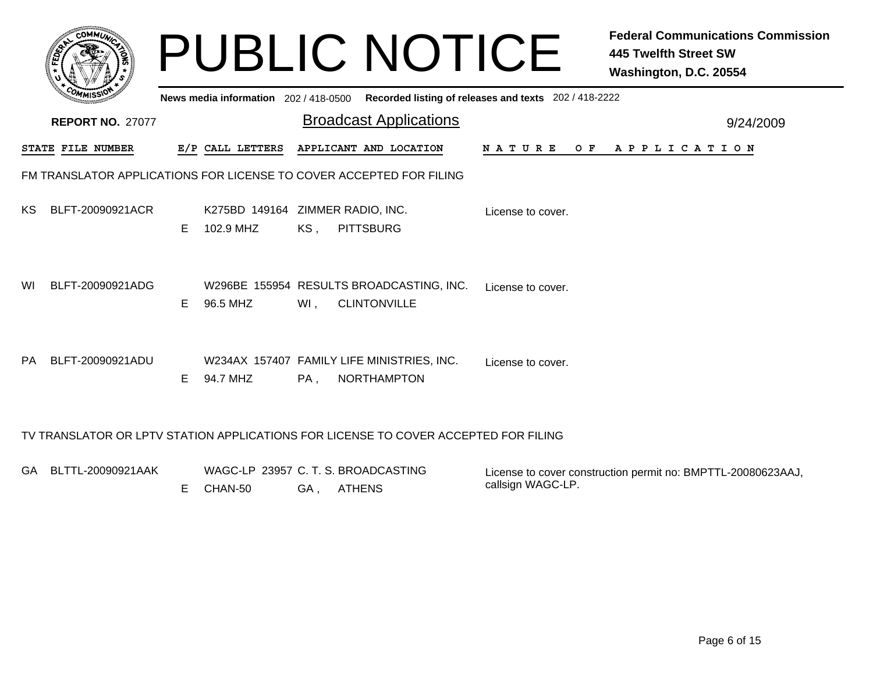|     |                          |    | News media information 202/418-0500           |     | <b>PUBLIC NOTICE</b>                                                | Recorded listing of releases and texts 202 / 418-2222 | <b>Federal Communications Commission</b><br><b>445 Twelfth Street SW</b><br>Washington, D.C. 20554 |
|-----|--------------------------|----|-----------------------------------------------|-----|---------------------------------------------------------------------|-------------------------------------------------------|----------------------------------------------------------------------------------------------------|
|     | <b>REPORT NO. 27077</b>  |    |                                               |     | <b>Broadcast Applications</b>                                       |                                                       | 9/24/2009                                                                                          |
|     | <b>STATE FILE NUMBER</b> |    | E/P CALL LETTERS                              |     | APPLICANT AND LOCATION                                              |                                                       | NATURE OF APPLICATION                                                                              |
|     |                          |    |                                               |     | FM TRANSLATOR APPLICATIONS FOR LICENSE TO COVER ACCEPTED FOR FILING |                                                       |                                                                                                    |
| KS. | BLFT-20090921ACR         | E. | K275BD 149164 ZIMMER RADIO, INC.<br>102.9 MHZ | KS, | <b>PITTSBURG</b>                                                    | License to cover.                                     |                                                                                                    |
| WI  | BLFT-20090921ADG         | E. | 96.5 MHZ                                      | Wl, | W296BE 155954 RESULTS BROADCASTING, INC.<br><b>CLINTONVILLE</b>     | License to cover.                                     |                                                                                                    |
| PA  | BLFT-20090921ADU         | E. | 94.7 MHZ                                      | PA, | W234AX 157407 FAMILY LIFE MINISTRIES, INC.<br><b>NORTHAMPTON</b>    | License to cover.                                     |                                                                                                    |
|     |                          |    |                                               |     |                                                                     |                                                       |                                                                                                    |

GA BLTTL-20090921AAK WAGC-LP 23957 C. T. S. BROADCASTINGGA , ATHENS E CHAN-50 License to cover construction permit no: BMPTTL-20080623AAJ, callsign WAGC-LP.

TV TRANSLATOR OR LPTV STATION APPLICATIONS FOR LICENSE TO COVER ACCEPTED FOR FILING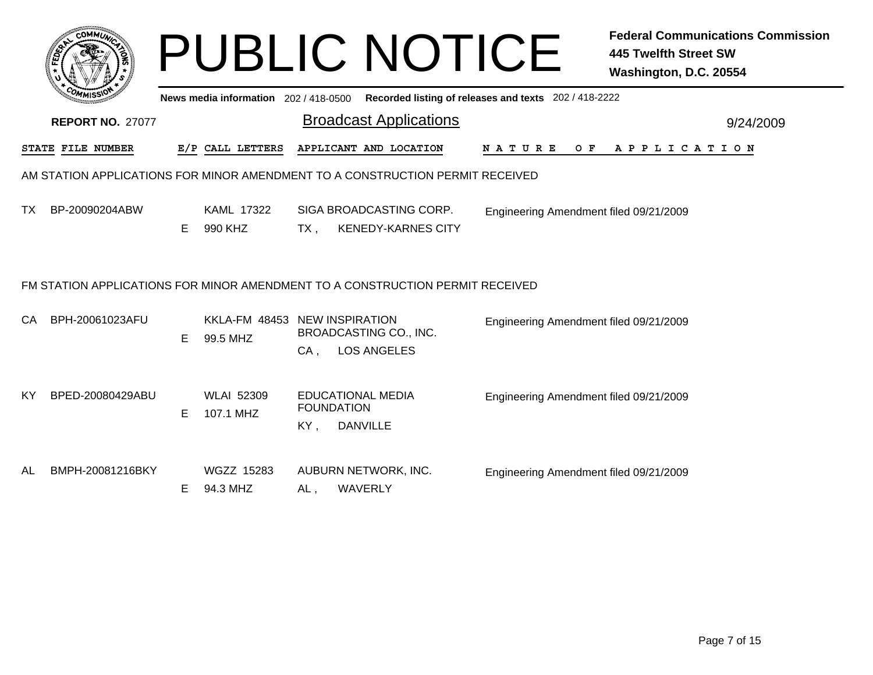|     |                                                                               |    |                                           |     | <b>PUBLIC NOTICE</b>                                                          |                                                       | <b>Federal Communications Commission</b><br><b>445 Twelfth Street SW</b><br>Washington, D.C. 20554 |  |  |  |  |
|-----|-------------------------------------------------------------------------------|----|-------------------------------------------|-----|-------------------------------------------------------------------------------|-------------------------------------------------------|----------------------------------------------------------------------------------------------------|--|--|--|--|
|     |                                                                               |    | News media information 202 / 418-0500     |     |                                                                               | Recorded listing of releases and texts 202 / 418-2222 |                                                                                                    |  |  |  |  |
|     | <b>REPORT NO. 27077</b>                                                       |    |                                           |     | <b>Broadcast Applications</b>                                                 |                                                       | 9/24/2009                                                                                          |  |  |  |  |
|     | STATE FILE NUMBER                                                             |    | E/P CALL LETTERS                          |     | APPLICANT AND LOCATION                                                        | N A T U R E<br>O F                                    | A P P L I C A T I O N                                                                              |  |  |  |  |
|     | AM STATION APPLICATIONS FOR MINOR AMENDMENT TO A CONSTRUCTION PERMIT RECEIVED |    |                                           |     |                                                                               |                                                       |                                                                                                    |  |  |  |  |
| TX. | BP-20090204ABW                                                                | E. | <b>KAML 17322</b><br>990 KHZ              | TX. | SIGA BROADCASTING CORP.<br><b>KENEDY-KARNES CITY</b>                          | Engineering Amendment filed 09/21/2009                |                                                                                                    |  |  |  |  |
|     |                                                                               |    |                                           |     | FM STATION APPLICATIONS FOR MINOR AMENDMENT TO A CONSTRUCTION PERMIT RECEIVED |                                                       |                                                                                                    |  |  |  |  |
| CA. | BPH-20061023AFU                                                               | E. | KKLA-FM 48453 NEW INSPIRATION<br>99.5 MHZ | CA, | BROADCASTING CO., INC.<br><b>LOS ANGELES</b>                                  | Engineering Amendment filed 09/21/2009                |                                                                                                    |  |  |  |  |
| KY  | BPED-20080429ABU                                                              | E. | <b>WLAI 52309</b><br>107.1 MHZ            | KY, | <b>EDUCATIONAL MEDIA</b><br><b>FOUNDATION</b><br><b>DANVILLE</b>              | Engineering Amendment filed 09/21/2009                |                                                                                                    |  |  |  |  |
| AL  | BMPH-20081216BKY                                                              | E. | <b>WGZZ 15283</b><br>94.3 MHZ             | AL, | AUBURN NETWORK, INC.<br>WAVERLY                                               | Engineering Amendment filed 09/21/2009                |                                                                                                    |  |  |  |  |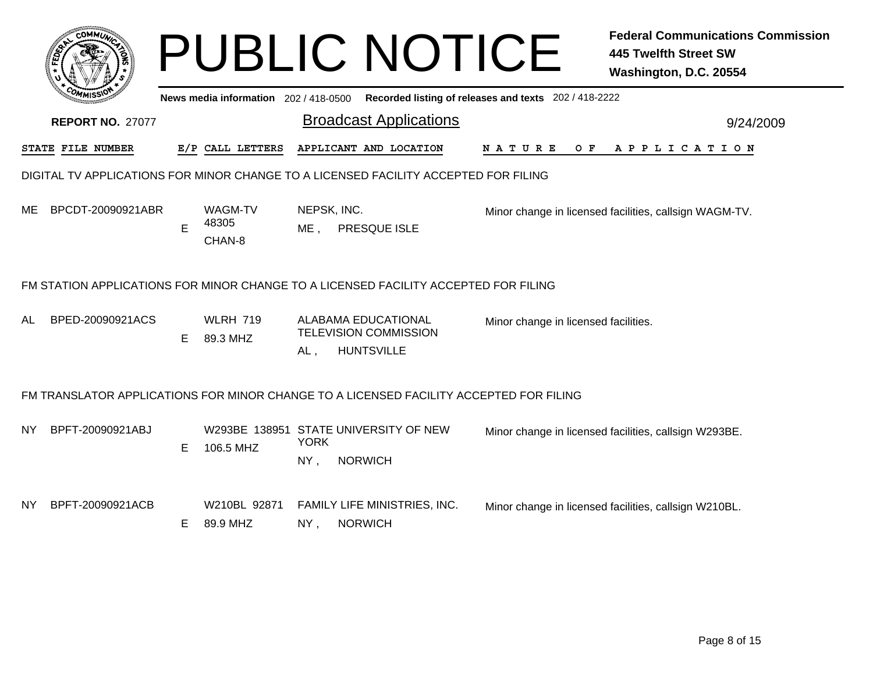|     | c <sub>OMM</sub>                                                                       |    |                                       |                       | <b>PUBLIC NOTICE</b>                                                            |                                                       | <b>Federal Communications Commission</b><br><b>445 Twelfth Street SW</b><br>Washington, D.C. 20554 |  |  |  |  |
|-----|----------------------------------------------------------------------------------------|----|---------------------------------------|-----------------------|---------------------------------------------------------------------------------|-------------------------------------------------------|----------------------------------------------------------------------------------------------------|--|--|--|--|
|     |                                                                                        |    | News media information 202 / 418-0500 |                       |                                                                                 | Recorded listing of releases and texts 202 / 418-2222 |                                                                                                    |  |  |  |  |
|     | <b>REPORT NO. 27077</b>                                                                |    |                                       |                       | <b>Broadcast Applications</b>                                                   |                                                       | 9/24/2009                                                                                          |  |  |  |  |
|     | STATE FILE NUMBER                                                                      |    | E/P CALL LETTERS                      |                       | APPLICANT AND LOCATION                                                          | NATURE<br>$O$ $\bf{F}$                                | APPLICATION                                                                                        |  |  |  |  |
|     | DIGITAL TV APPLICATIONS FOR MINOR CHANGE TO A LICENSED FACILITY ACCEPTED FOR FILING    |    |                                       |                       |                                                                                 |                                                       |                                                                                                    |  |  |  |  |
| ME. | BPCDT-20090921ABR                                                                      | Е  | WAGM-TV<br>48305<br>CHAN-8            | NEPSK, INC.<br>$ME$ , | PRESQUE ISLE                                                                    |                                                       | Minor change in licensed facilities, callsign WAGM-TV.                                             |  |  |  |  |
|     | FM STATION APPLICATIONS FOR MINOR CHANGE TO A LICENSED FACILITY ACCEPTED FOR FILING    |    |                                       |                       |                                                                                 |                                                       |                                                                                                    |  |  |  |  |
| AL  | BPED-20090921ACS                                                                       | E. | <b>WLRH 719</b><br>89.3 MHZ           | $AL$ ,                | <b>ALABAMA EDUCATIONAL</b><br><b>TELEVISION COMMISSION</b><br><b>HUNTSVILLE</b> | Minor change in licensed facilities.                  |                                                                                                    |  |  |  |  |
|     | FM TRANSLATOR APPLICATIONS FOR MINOR CHANGE TO A LICENSED FACILITY ACCEPTED FOR FILING |    |                                       |                       |                                                                                 |                                                       |                                                                                                    |  |  |  |  |
| NY. | BPFT-20090921ABJ                                                                       | E  | 106.5 MHZ                             | <b>YORK</b><br>NY,    | W293BE 138951 STATE UNIVERSITY OF NEW<br><b>NORWICH</b>                         |                                                       | Minor change in licensed facilities, callsign W293BE.                                              |  |  |  |  |
| NY. | BPFT-20090921ACB                                                                       | Е  | W210BL 92871<br>89.9 MHZ              | NY,                   | FAMILY LIFE MINISTRIES, INC.<br><b>NORWICH</b>                                  |                                                       | Minor change in licensed facilities, callsign W210BL.                                              |  |  |  |  |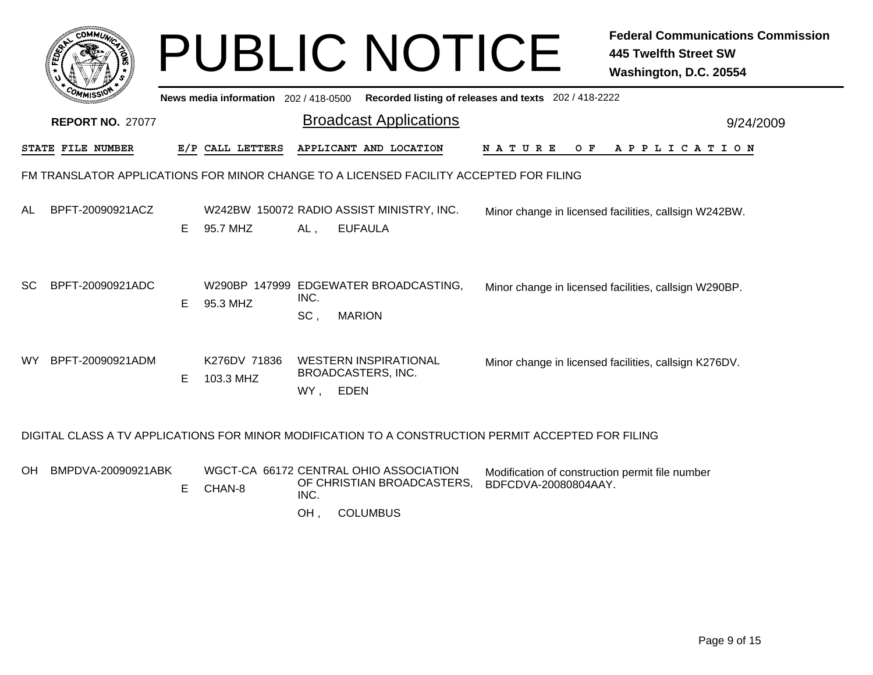| c.OMM                                                                                  |                                                                                                     |                                     | <b>PUBLIC NOTICE</b>                                                                                                                                    | <b>Federal Communications Commission</b><br><b>445 Twelfth Street SW</b><br>Washington, D.C. 20554 |  |  |  |  |  |
|----------------------------------------------------------------------------------------|-----------------------------------------------------------------------------------------------------|-------------------------------------|---------------------------------------------------------------------------------------------------------------------------------------------------------|----------------------------------------------------------------------------------------------------|--|--|--|--|--|
|                                                                                        |                                                                                                     | News media information 202/418-0500 | Recorded listing of releases and texts 202 / 418-2222                                                                                                   |                                                                                                    |  |  |  |  |  |
| <b>REPORT NO. 27077</b>                                                                |                                                                                                     |                                     | <b>Broadcast Applications</b>                                                                                                                           | 9/24/2009                                                                                          |  |  |  |  |  |
| STATE FILE NUMBER                                                                      |                                                                                                     | E/P CALL LETTERS                    | APPLICANT AND LOCATION<br><b>NATURE</b><br>O F                                                                                                          | A P P L I C A T I O N                                                                              |  |  |  |  |  |
| FM TRANSLATOR APPLICATIONS FOR MINOR CHANGE TO A LICENSED FACILITY ACCEPTED FOR FILING |                                                                                                     |                                     |                                                                                                                                                         |                                                                                                    |  |  |  |  |  |
| BPFT-20090921ACZ<br>AL                                                                 | E.                                                                                                  | 95.7 MHZ                            | W242BW 150072 RADIO ASSIST MINISTRY, INC.<br>Minor change in licensed facilities, callsign W242BW.<br><b>EUFAULA</b><br>AL,                             |                                                                                                    |  |  |  |  |  |
| BPFT-20090921ADC<br><b>SC</b>                                                          | Е                                                                                                   | 95.3 MHZ                            | W290BP 147999 EDGEWATER BROADCASTING,<br>Minor change in licensed facilities, callsign W290BP.<br>INC.<br><b>MARION</b><br>SC,                          |                                                                                                    |  |  |  |  |  |
| BPFT-20090921ADM<br>WY.                                                                | E                                                                                                   | K276DV 71836<br>103.3 MHZ           | <b>WESTERN INSPIRATIONAL</b><br>Minor change in licensed facilities, callsign K276DV.<br>BROADCASTERS, INC.<br>WY, EDEN                                 |                                                                                                    |  |  |  |  |  |
|                                                                                        | DIGITAL CLASS A TV APPLICATIONS FOR MINOR MODIFICATION TO A CONSTRUCTION PERMIT ACCEPTED FOR FILING |                                     |                                                                                                                                                         |                                                                                                    |  |  |  |  |  |
| BMPDVA-20090921ABK<br>OH.                                                              | E                                                                                                   | CHAN-8                              | WGCT-CA 66172 CENTRAL OHIO ASSOCIATION<br>Modification of construction permit file number<br>OF CHRISTIAN BROADCASTERS.<br>BDFCDVA-20080804AAY.<br>INC. |                                                                                                    |  |  |  |  |  |

OH , COLUMBUS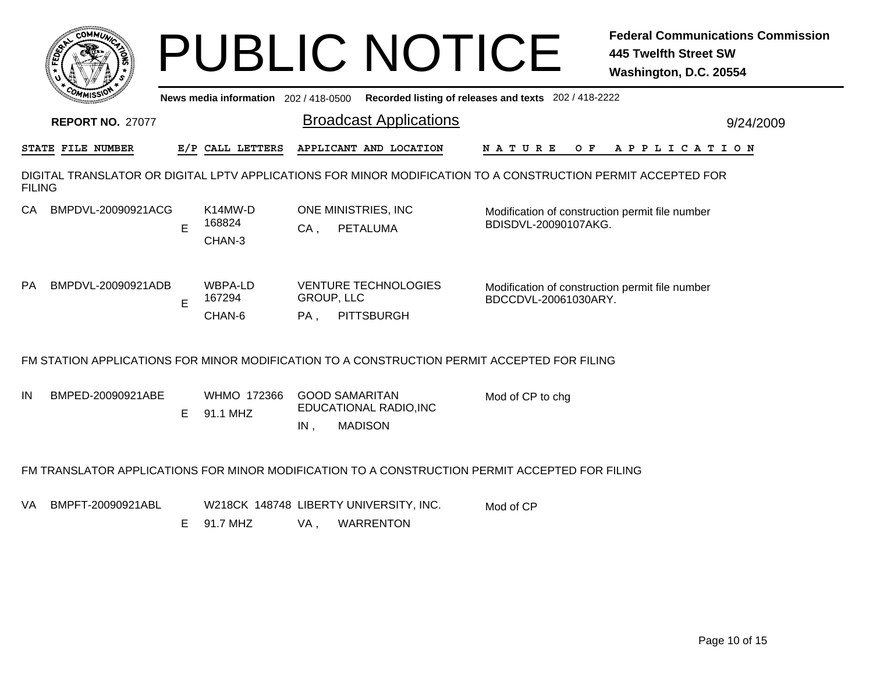| <b>COMMU</b>                                                                                                                  |    |                                          |                             | <b>PUBLIC NOTICE</b>                                              |                                                                         | <b>Federal Communications Commission</b><br><b>445 Twelfth Street SW</b><br>Washington, D.C. 20554 |  |  |  |  |
|-------------------------------------------------------------------------------------------------------------------------------|----|------------------------------------------|-----------------------------|-------------------------------------------------------------------|-------------------------------------------------------------------------|----------------------------------------------------------------------------------------------------|--|--|--|--|
| Recorded listing of releases and texts 202 / 418-2222<br>News media information 202 / 418-0500                                |    |                                          |                             |                                                                   |                                                                         |                                                                                                    |  |  |  |  |
| <b>REPORT NO. 27077</b>                                                                                                       |    |                                          |                             | <b>Broadcast Applications</b>                                     |                                                                         | 9/24/2009                                                                                          |  |  |  |  |
| STATE FILE NUMBER                                                                                                             |    | E/P CALL LETTERS                         |                             | APPLICANT AND LOCATION                                            | N A T U R E<br>O F                                                      | A P P L I C A T I O N                                                                              |  |  |  |  |
| DIGITAL TRANSLATOR OR DIGITAL LPTV APPLICATIONS FOR MINOR MODIFICATION TO A CONSTRUCTION PERMIT ACCEPTED FOR<br><b>FILING</b> |    |                                          |                             |                                                                   |                                                                         |                                                                                                    |  |  |  |  |
| BMPDVL-20090921ACG<br>CA -                                                                                                    | E  | K <sub>14</sub> MW-D<br>168824<br>CHAN-3 | $CA$ ,                      | ONE MINISTRIES, INC.<br><b>PETALUMA</b>                           | Modification of construction permit file number<br>BDISDVL-20090107AKG. |                                                                                                    |  |  |  |  |
| BMPDVL-20090921ADB<br>PA.                                                                                                     | E  | WBPA-LD<br>167294<br>CHAN-6              | <b>GROUP, LLC</b><br>$PA$ , | <b>VENTURE TECHNOLOGIES</b><br><b>PITTSBURGH</b>                  | Modification of construction permit file number<br>BDCCDVL-20061030ARY. |                                                                                                    |  |  |  |  |
| FM STATION APPLICATIONS FOR MINOR MODIFICATION TO A CONSTRUCTION PERMIT ACCEPTED FOR FILING                                   |    |                                          |                             |                                                                   |                                                                         |                                                                                                    |  |  |  |  |
| BMPED-20090921ABE<br>IN                                                                                                       | E. | WHMO 172366<br>91.1 MHZ                  | IN,                         | <b>GOOD SAMARITAN</b><br>EDUCATIONAL RADIO, INC<br><b>MADISON</b> | Mod of CP to chg                                                        |                                                                                                    |  |  |  |  |
| FM TRANSLATOR APPLICATIONS FOR MINOR MODIFICATION TO A CONSTRUCTION PERMIT ACCEPTED FOR FILING                                |    |                                          |                             |                                                                   |                                                                         |                                                                                                    |  |  |  |  |
| BMPFT-20090921ABL<br>VA.                                                                                                      | Е  | 91.7 MHZ                                 | VA,                         | W218CK 148748 LIBERTY UNIVERSITY, INC.<br><b>WARRENTON</b>        | Mod of CP                                                               |                                                                                                    |  |  |  |  |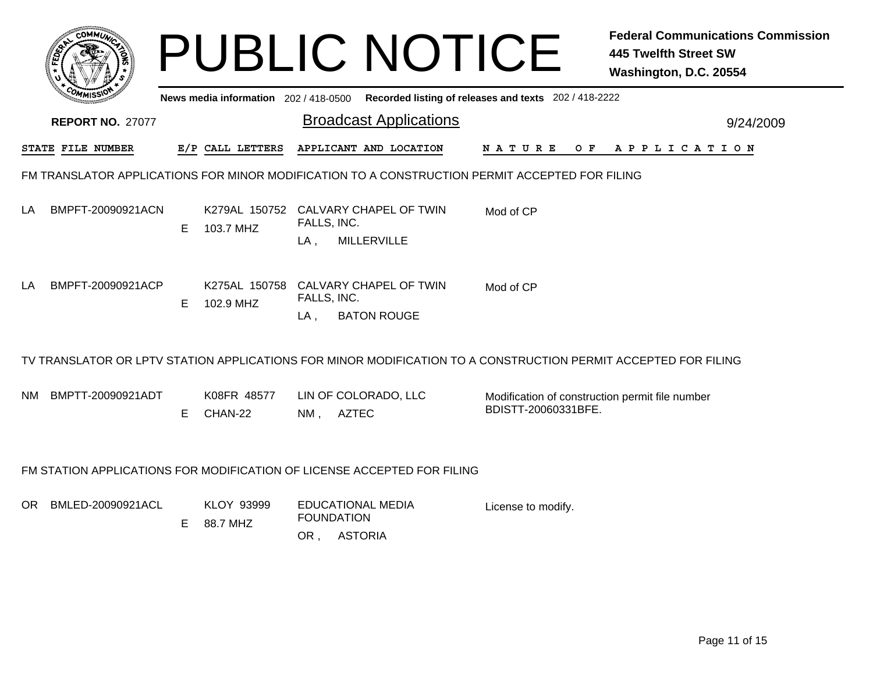|           | <b>COMMI</b>                                                            |    |                                     |                                                                  | <b>PUBLIC NOTICE</b>                          |                                                                                                                | <b>Federal Communications Commission</b><br><b>445 Twelfth Street SW</b><br>Washington, D.C. 20554 |
|-----------|-------------------------------------------------------------------------|----|-------------------------------------|------------------------------------------------------------------|-----------------------------------------------|----------------------------------------------------------------------------------------------------------------|----------------------------------------------------------------------------------------------------|
|           |                                                                         |    | News media information 202/418-0500 |                                                                  |                                               | Recorded listing of releases and texts 202 / 418-2222                                                          |                                                                                                    |
|           | <b>REPORT NO. 27077</b>                                                 |    |                                     |                                                                  | <b>Broadcast Applications</b>                 |                                                                                                                | 9/24/2009                                                                                          |
|           | STATE FILE NUMBER                                                       |    | E/P CALL LETTERS                    |                                                                  | APPLICANT AND LOCATION                        | N A T U R E                                                                                                    | OF APPLICATION                                                                                     |
|           |                                                                         |    |                                     |                                                                  |                                               | FM TRANSLATOR APPLICATIONS FOR MINOR MODIFICATION TO A CONSTRUCTION PERMIT ACCEPTED FOR FILING                 |                                                                                                    |
| LA        | BMPFT-20090921ACN                                                       | E. | 103.7 MHZ                           | K279AL 150752 CALVARY CHAPEL OF TWIN<br>Mod of CP<br>FALLS, INC. |                                               |                                                                                                                |                                                                                                    |
|           |                                                                         |    |                                     | LA .                                                             | <b>MILLERVILLE</b>                            |                                                                                                                |                                                                                                    |
| LA        | BMPFT-20090921ACP                                                       | E. | K275AL 150758<br>102.9 MHZ          | FALLS, INC.                                                      | CALVARY CHAPEL OF TWIN                        | Mod of CP                                                                                                      |                                                                                                    |
|           |                                                                         |    |                                     | LA,                                                              | <b>BATON ROUGE</b>                            |                                                                                                                |                                                                                                    |
|           |                                                                         |    |                                     |                                                                  |                                               | TV TRANSLATOR OR LPTV STATION APPLICATIONS FOR MINOR MODIFICATION TO A CONSTRUCTION PERMIT ACCEPTED FOR FILING |                                                                                                    |
| <b>NM</b> | BMPTT-20090921ADT                                                       |    | K08FR 48577                         | LIN OF COLORADO, LLC                                             |                                               | Modification of construction permit file number<br>BDISTT-20060331BFE.                                         |                                                                                                    |
|           |                                                                         | E. | CHAN-22                             | NM ,                                                             | <b>AZTEC</b>                                  |                                                                                                                |                                                                                                    |
|           | FM STATION APPLICATIONS FOR MODIFICATION OF LICENSE ACCEPTED FOR FILING |    |                                     |                                                                  |                                               |                                                                                                                |                                                                                                    |
| OR        | BMLED-20090921ACL                                                       | Е  | <b>KLOY 93999</b><br>88.7 MHZ       |                                                                  | <b>EDUCATIONAL MEDIA</b><br><b>FOUNDATION</b> | License to modify.                                                                                             |                                                                                                    |
|           |                                                                         |    |                                     |                                                                  | OR, ASTORIA                                   |                                                                                                                |                                                                                                    |
|           |                                                                         |    |                                     |                                                                  |                                               |                                                                                                                |                                                                                                    |
|           |                                                                         |    |                                     |                                                                  |                                               |                                                                                                                |                                                                                                    |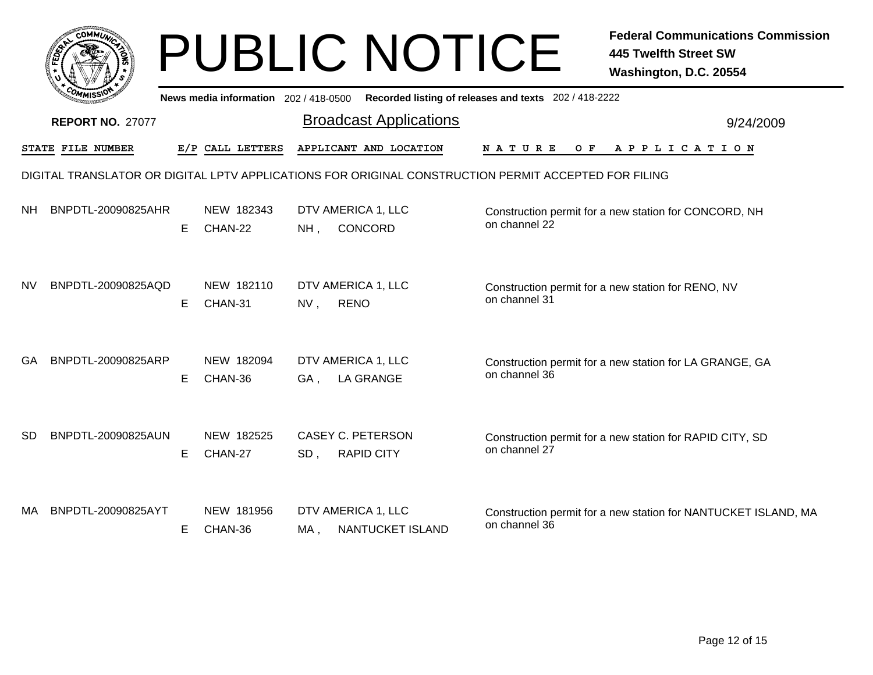|           |                         |    |                                     |        | <b>PUBLIC NOTICE</b>                                                                                 |                                                       | <b>Federal Communications Commission</b><br><b>445 Twelfth Street SW</b><br>Washington, D.C. 20554 |
|-----------|-------------------------|----|-------------------------------------|--------|------------------------------------------------------------------------------------------------------|-------------------------------------------------------|----------------------------------------------------------------------------------------------------|
|           |                         |    | News media information 202/418-0500 |        |                                                                                                      | Recorded listing of releases and texts 202 / 418-2222 |                                                                                                    |
|           | <b>REPORT NO. 27077</b> |    |                                     |        | <b>Broadcast Applications</b>                                                                        |                                                       | 9/24/2009                                                                                          |
|           | STATE FILE NUMBER       |    | E/P CALL LETTERS                    |        | APPLICANT AND LOCATION                                                                               | N A T U R E<br>O F                                    | A P P L I C A T I O N                                                                              |
|           |                         |    |                                     |        | DIGITAL TRANSLATOR OR DIGITAL LPTV APPLICATIONS FOR ORIGINAL CONSTRUCTION PERMIT ACCEPTED FOR FILING |                                                       |                                                                                                    |
| <b>NH</b> | BNPDTL-20090825AHR      | E  | NEW 182343<br>CHAN-22               | NH.    | DTV AMERICA 1, LLC<br>CONCORD                                                                        | on channel 22                                         | Construction permit for a new station for CONCORD, NH                                              |
| NV        | BNPDTL-20090825AQD      | E. | NEW 182110<br>CHAN-31               | $NV$ , | DTV AMERICA 1, LLC<br><b>RENO</b>                                                                    | on channel 31                                         | Construction permit for a new station for RENO, NV                                                 |
| GA        | BNPDTL-20090825ARP      | Е  | NEW 182094<br>CHAN-36               | GA,    | DTV AMERICA 1, LLC<br><b>LA GRANGE</b>                                                               | on channel 36                                         | Construction permit for a new station for LA GRANGE, GA                                            |
| <b>SD</b> | BNPDTL-20090825AUN      | E. | NEW 182525<br>CHAN-27               | $SD$ , | <b>CASEY C. PETERSON</b><br><b>RAPID CITY</b>                                                        | on channel 27                                         | Construction permit for a new station for RAPID CITY, SD                                           |
| МA        | BNPDTL-20090825AYT      | E. | NEW 181956<br>CHAN-36               | MA,    | DTV AMERICA 1, LLC<br>NANTUCKET ISLAND                                                               | on channel 36                                         | Construction permit for a new station for NANTUCKET ISLAND, MA                                     |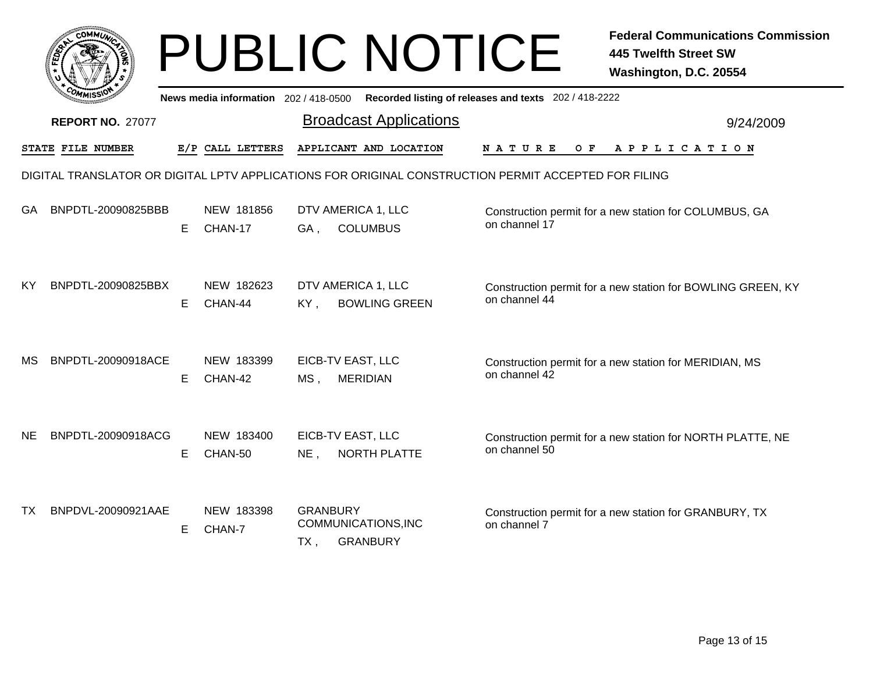|           |                                                                                                      |    |                                       |                                                                  | <b>PUBLIC NOTICE</b>          |                                                       | <b>Federal Communications Commission</b><br><b>445 Twelfth Street SW</b><br>Washington, D.C. 20554 |
|-----------|------------------------------------------------------------------------------------------------------|----|---------------------------------------|------------------------------------------------------------------|-------------------------------|-------------------------------------------------------|----------------------------------------------------------------------------------------------------|
|           |                                                                                                      |    | News media information 202 / 418-0500 |                                                                  |                               | Recorded listing of releases and texts 202 / 418-2222 |                                                                                                    |
|           | <b>REPORT NO. 27077</b>                                                                              |    |                                       |                                                                  | <b>Broadcast Applications</b> |                                                       | 9/24/2009                                                                                          |
|           | STATE FILE NUMBER                                                                                    |    | E/P CALL LETTERS                      |                                                                  | APPLICANT AND LOCATION        | <b>NATURE</b><br>O F                                  | A P P L I C A T I O N                                                                              |
|           | DIGITAL TRANSLATOR OR DIGITAL LPTV APPLICATIONS FOR ORIGINAL CONSTRUCTION PERMIT ACCEPTED FOR FILING |    |                                       |                                                                  |                               |                                                       |                                                                                                    |
| GA        | BNPDTL-20090825BBB                                                                                   | E. | NEW 181856<br>CHAN-17                 | DTV AMERICA 1, LLC<br><b>COLUMBUS</b><br>GA.                     |                               | on channel 17                                         | Construction permit for a new station for COLUMBUS, GA                                             |
| KY.       | BNPDTL-20090825BBX                                                                                   | E. | NEW 182623<br>CHAN-44                 | DTV AMERICA 1, LLC<br>KY,                                        | <b>BOWLING GREEN</b>          | on channel 44                                         | Construction permit for a new station for BOWLING GREEN, KY                                        |
| <b>MS</b> | BNPDTL-20090918ACE                                                                                   | E. | NEW 183399<br>CHAN-42                 | EICB-TV EAST, LLC<br><b>MERIDIAN</b><br>MS <sub>1</sub>          |                               | on channel 42                                         | Construction permit for a new station for MERIDIAN, MS                                             |
| <b>NE</b> | BNPDTL-20090918ACG                                                                                   | E  | NEW 183400<br>CHAN-50                 | EICB-TV EAST, LLC<br>$NE$ ,                                      | NORTH PLATTE                  | on channel 50                                         | Construction permit for a new station for NORTH PLATTE, NE                                         |
| TX        | BNPDVL-20090921AAE                                                                                   | E. | NEW 183398<br>CHAN-7                  | <b>GRANBURY</b><br>COMMUNICATIONS, INC<br><b>GRANBURY</b><br>TX, |                               | on channel 7                                          | Construction permit for a new station for GRANBURY, TX                                             |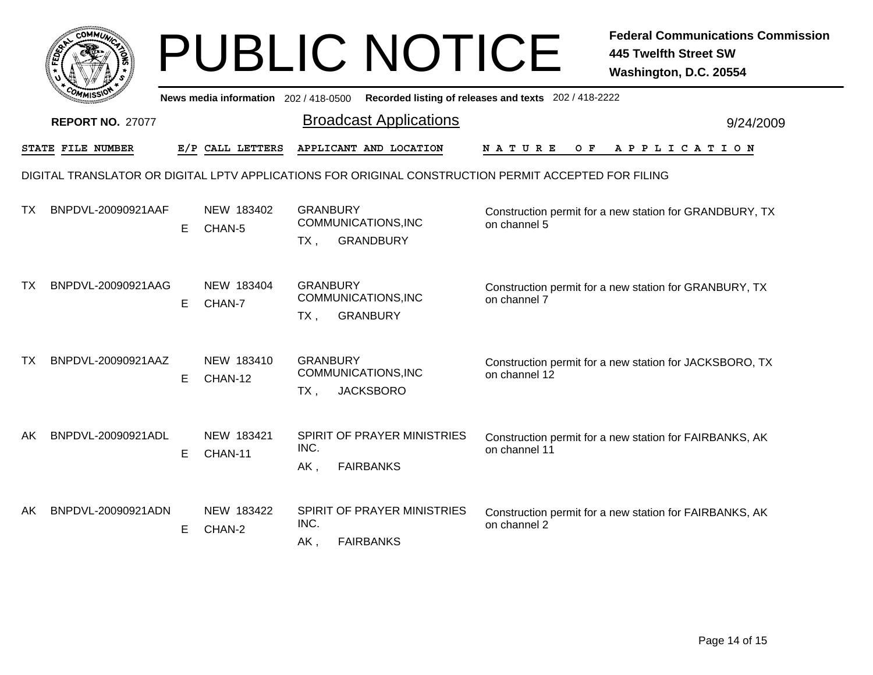|     |                         |    |                                     | <b>PUBLIC NOTICE</b>                                                                                 |                      | <b>Federal Communications Commission</b><br><b>445 Twelfth Street SW</b><br>Washington, D.C. 20554 |
|-----|-------------------------|----|-------------------------------------|------------------------------------------------------------------------------------------------------|----------------------|----------------------------------------------------------------------------------------------------|
|     |                         |    | News media information 202/418-0500 | Recorded listing of releases and texts 202 / 418-2222                                                |                      |                                                                                                    |
|     | <b>REPORT NO. 27077</b> |    |                                     | <b>Broadcast Applications</b>                                                                        |                      | 9/24/2009                                                                                          |
|     | STATE FILE NUMBER       |    | E/P CALL LETTERS                    | APPLICANT AND LOCATION                                                                               | <b>NATURE</b><br>O F | APPLICATION                                                                                        |
|     |                         |    |                                     | DIGITAL TRANSLATOR OR DIGITAL LPTV APPLICATIONS FOR ORIGINAL CONSTRUCTION PERMIT ACCEPTED FOR FILING |                      |                                                                                                    |
| ТX  | BNPDVL-20090921AAF      | E. | NEW 183402<br>CHAN-5                | <b>GRANBURY</b><br>COMMUNICATIONS, INC<br><b>GRANDBURY</b><br>$TX$ ,                                 | on channel 5         | Construction permit for a new station for GRANDBURY, TX                                            |
| ТX  | BNPDVL-20090921AAG      | E  | NEW 183404<br>CHAN-7                | <b>GRANBURY</b><br>COMMUNICATIONS, INC<br><b>GRANBURY</b><br>$TX$ ,                                  | on channel 7         | Construction permit for a new station for GRANBURY, TX                                             |
| ТX  | BNPDVL-20090921AAZ      | E. | NEW 183410<br>CHAN-12               | <b>GRANBURY</b><br>COMMUNICATIONS, INC<br><b>JACKSBORO</b><br>$TX$ ,                                 | on channel 12        | Construction permit for a new station for JACKSBORO, TX                                            |
| AK. | BNPDVL-20090921ADL      | E  | NEW 183421<br>CHAN-11               | SPIRIT OF PRAYER MINISTRIES<br>INC.<br>AK,<br><b>FAIRBANKS</b>                                       | on channel 11        | Construction permit for a new station for FAIRBANKS, AK                                            |
| AK. | BNPDVL-20090921ADN      | E  | NEW 183422<br>CHAN-2                | SPIRIT OF PRAYER MINISTRIES<br>INC.<br><b>FAIRBANKS</b><br>$AK$ ,                                    | on channel 2         | Construction permit for a new station for FAIRBANKS, AK                                            |